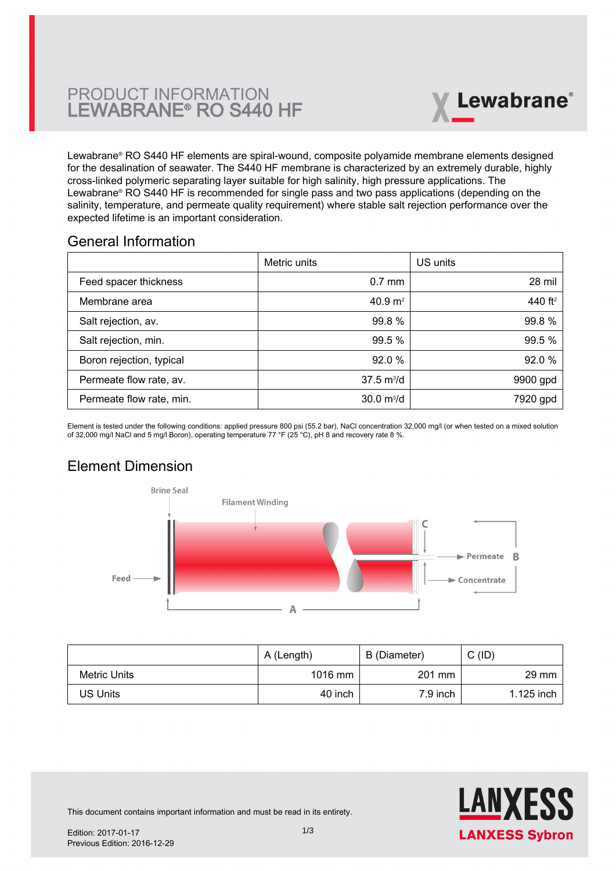# PRODUCT INFORMATION LEWABRANE® RO S440 HF



Lewabrane® RO S440 HF elements are spiral-wound, composite polyamide membrane elements designed [for the desalination of seawater. The S440 HF membrane is characterized by an extremely durable, highly](https://www.pureaqua.com/lanxess-lewabrane-s440-hf-membrane/) cross-linked polymeric separating layer suitable for high salinity, high pressure applications. The Lewabrane® RO S440 HF is recommended for single pass and two pass applications (depending on the salinity, temperature, and permeate quality requirement) where stable salt rejection performance over the expected lifetime is an important consideration.

### General Information

|                          | Metric units                | US units            |
|--------------------------|-----------------------------|---------------------|
| Feed spacer thickness    | $0.7$ mm                    | 28 mil              |
| Membrane area            | 40.9 $m2$                   | 440 ft <sup>2</sup> |
| Salt rejection, av.      | 99.8 %                      | 99.8%               |
| Salt rejection, min.     | 99.5 %                      | 99.5 %              |
| Boron rejection, typical | 92.0%                       | 92.0%               |
| Permeate flow rate, av.  | $37.5 \text{ m}^3/\text{d}$ | 9900 gpd            |
| Permeate flow rate, min. | $30.0 \text{ m}^3/\text{d}$ | 7920 gpd            |

Element is tested under the following conditions: applied pressure 800 psi (55.2 bar), NaCl concentration 32,000 mg/l (or when tested on a mixed solution of 32,000 mg/l NaCl and 5 mg/l Boron), operating temperature 77 °F (25 °C), pH 8 and recovery rate 8 %.

# Element Dimension



|              | A (Length) | B (Diameter) | C (ID)          |
|--------------|------------|--------------|-----------------|
| Metric Units | $1016$ mm  | 201 mm       | $29 \text{ mm}$ |
| US Units     | 40 inch    | 7.9 inch     | 1.125 inch      |



This document contains important information and must be read in its entirety.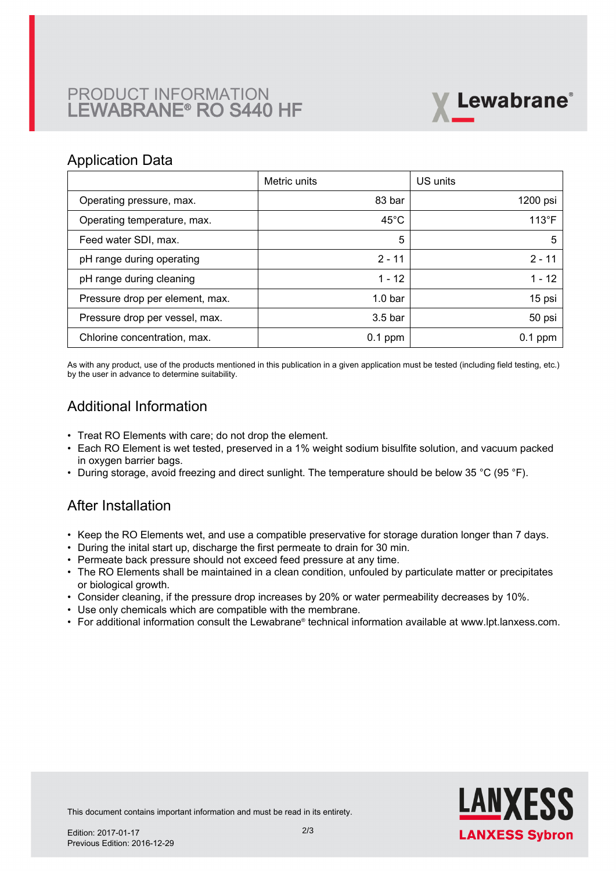# PRODUCT INFORMATION LEWABRANE® RO S440 HF



#### Application Data

|                                 | Metric units       | US units       |
|---------------------------------|--------------------|----------------|
| Operating pressure, max.        | 83 bar             | 1200 psi       |
| Operating temperature, max.     | $45^{\circ}$ C     | $113^{\circ}F$ |
| Feed water SDI, max.            | 5                  | 5              |
| pH range during operating       | $2 - 11$           | $2 - 11$       |
| pH range during cleaning        | $1 - 12$           | $1 - 12$       |
| Pressure drop per element, max. | 1.0 <sub>bar</sub> | 15 psi         |
| Pressure drop per vessel, max.  | 3.5 <sub>bar</sub> | 50 psi         |
| Chlorine concentration, max.    | $0.1$ ppm          | $0.1$ ppm      |

As with any product, use of the products mentioned in this publication in a given application must be tested (including field testing, etc.) by the user in advance to determine suitability.

## Additional Information

- Treat RO Elements with care; do not drop the element.
- Each RO Element is wet tested, preserved in a 1% weight sodium bisulfite solution, and vacuum packed in oxygen barrier bags.
- During storage, avoid freezing and direct sunlight. The temperature should be below 35 °C (95 °F).

## After Installation

- Keep the RO Elements wet, and use a compatible preservative for storage duration longer than 7 days.
- During the inital start up, discharge the first permeate to drain for 30 min.
- Permeate back pressure should not exceed feed pressure at any time.
- The RO Elements shall be maintained in a clean condition, unfouled by particulate matter or precipitates or biological growth.
- Consider cleaning, if the pressure drop increases by 20% or water permeability decreases by 10%.
- Use only chemicals which are compatible with the membrane.
- For additional information consult the Lewabrane® technical information available at www.lpt.lanxess.com.



This document contains important information and must be read in its entirety.